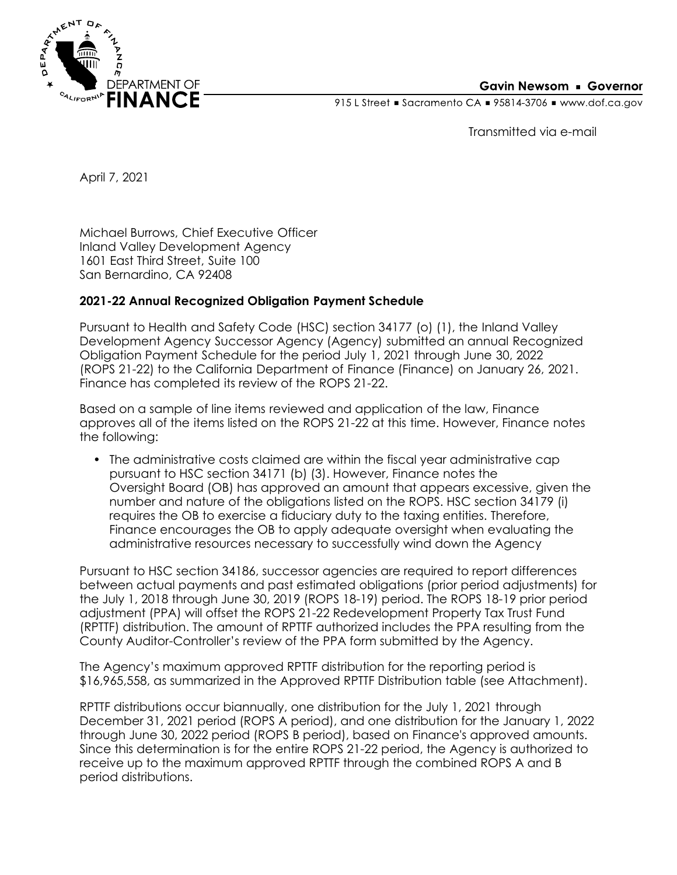

## **Gavin Newsom • Governor**

915 L Street Gacramento CA = 95814-3706 Www.dof.ca.gov

Transmitted via e-mail

April 7, 2021

Michael Burrows, Chief Executive Officer Inland Valley Development Agency 1601 East Third Street, Suite 100 San Bernardino, CA 92408

## **2021-22 Annual Recognized Obligation Payment Schedule**

Pursuant to Health and Safety Code (HSC) section 34177 (o) (1), the Inland Valley Development Agency Successor Agency (Agency) submitted an annual Recognized Obligation Payment Schedule for the period July 1, 2021 through June 30, 2022 (ROPS 21-22) to the California Department of Finance (Finance) on January 26, 2021. Finance has completed its review of the ROPS 21-22.

Based on a sample of line items reviewed and application of the law, Finance approves all of the items listed on the ROPS 21-22 at this time. However, Finance notes the following:

• The administrative costs claimed are within the fiscal year administrative cap pursuant to HSC section 34171 (b) (3). However, Finance notes the Oversight Board (OB) has approved an amount that appears excessive, given the number and nature of the obligations listed on the ROPS. HSC section 34179 (i) requires the OB to exercise a fiduciary duty to the taxing entities. Therefore, Finance encourages the OB to apply adequate oversight when evaluating the administrative resources necessary to successfully wind down the Agency

Pursuant to HSC section 34186, successor agencies are required to report differences between actual payments and past estimated obligations (prior period adjustments) for the July 1, 2018 through June 30, 2019 (ROPS 18-19) period. The ROPS 18-19 prior period adjustment (PPA) will offset the ROPS 21-22 Redevelopment Property Tax Trust Fund (RPTTF) distribution. The amount of RPTTF authorized includes the PPA resulting from the County Auditor-Controller's review of the PPA form submitted by the Agency.

The Agency's maximum approved RPTTF distribution for the reporting period is \$16,965,558, as summarized in the Approved RPTTF Distribution table (see Attachment).

RPTTF distributions occur biannually, one distribution for the July 1, 2021 through December 31, 2021 period (ROPS A period), and one distribution for the January 1, 2022 through June 30, 2022 period (ROPS B period), based on Finance's approved amounts. Since this determination is for the entire ROPS 21-22 period, the Agency is authorized to receive up to the maximum approved RPTTF through the combined ROPS A and B period distributions.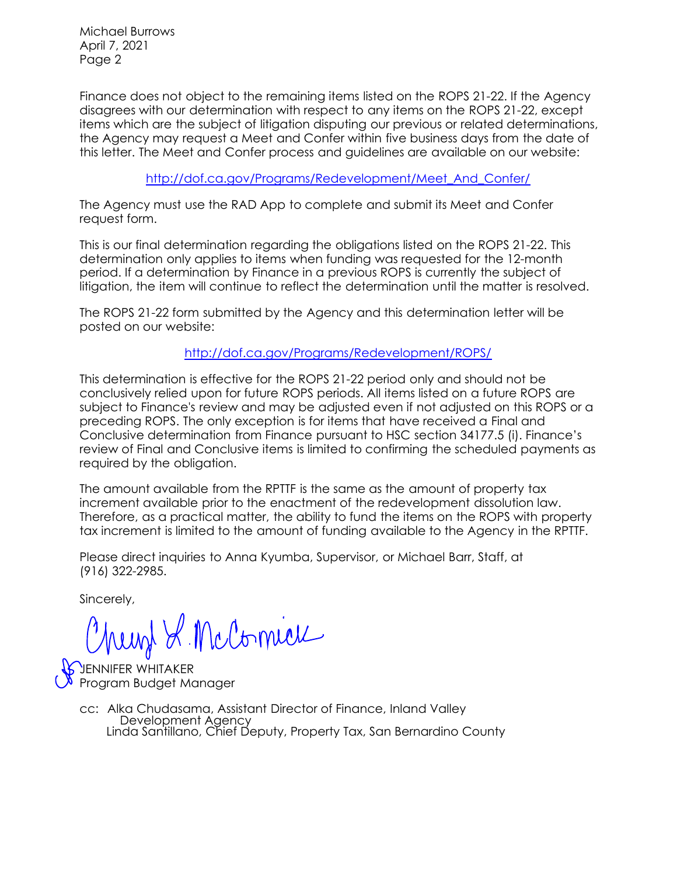Michael Burrows April 7, 2021 Page 2

Finance does not object to the remaining items listed on the ROPS 21-22. If the Agency disagrees with our determination with respect to any items on the ROPS 21-22, except items which are the subject of litigation disputing our previous or related determinations, the Agency may request a Meet and Confer within five business days from the date of this letter. The Meet and Confer process and guidelines are available on our website:

[http://dof.ca.gov/Programs/Redevelopment/Meet\\_And\\_Confer/](http://dof.ca.gov/Programs/Redevelopment/Meet_And_Confer/) 

The Agency must use the RAD App to complete and submit its Meet and Confer request form.

This is our final determination regarding the obligations listed on the ROPS 21-22. This determination only applies to items when funding was requested for the 12-month period. If a determination by Finance in a previous ROPS is currently the subject of litigation, the item will continue to reflect the determination until the matter is resolved.

The ROPS 21-22 form submitted by the Agency and this determination letter will be posted on our website:

<http://dof.ca.gov/Programs/Redevelopment/ROPS/>

This determination is effective for the ROPS 21-22 period only and should not be conclusively relied upon for future ROPS periods. All items listed on a future ROPS are subject to Finance's review and may be adjusted even if not adjusted on this ROPS or a preceding ROPS. The only exception is for items that have received a Final and Conclusive determination from Finance pursuant to HSC section 34177.5 (i). Finance's review of Final and Conclusive items is limited to confirming the scheduled payments as required by the obligation.

The amount available from the RPTTF is the same as the amount of property tax increment available prior to the enactment of the redevelopment dissolution law. Therefore, as a practical matter, the ability to fund the items on the ROPS with property tax increment is limited to the amount of funding available to the Agency in the RPTTF.

Please direct inquiries to Anna Kyumba, Supervisor, or Michael Barr, Staff, at (916) 322-2985.

Sincerely,

Munt & McComieu

ENNIFER WHITAKER Program Budget Manager

cc: Alka Chudasama, Assistant Director of Finance, Inland Valley Development Agency Linda Santillano, Chief Deputy, Property Tax, San Bernardino County